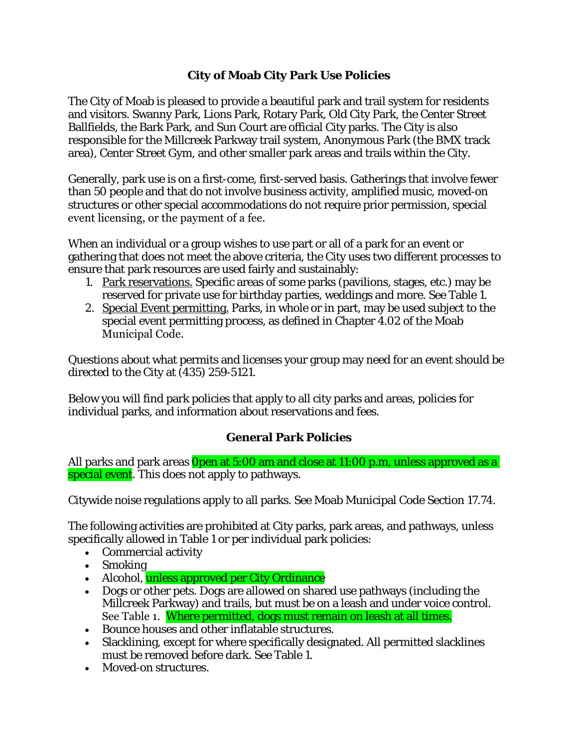#### **City of Moab City Park Use Policies**

The City of Moab is pleased to provide a beautiful park and trail system for residents and visitors. Swanny Park, Lions Park, Rotary Park, Old City Park, the Center Street Ballfields, the Bark Park, and Sun Court are official City parks. The City is also responsible for the Millcreek Parkway trail system, Anonymous Park (the BMX track area), Center Street Gym, and other smaller park areas and trails within the City.

Generally, park use is on a first-come, first-served basis. Gatherings that involve fewer than 50 people and that do not involve business activity, amplified music, moved‐on structures or other special accommodations do not require prior permission, special event licensing, or the payment of a fee.

When an individual or a group wishes to use part or all of a park for an event or gathering that does not meet the above criteria, the City uses two different processes to ensure that park resources are used fairly and sustainably:

- 1. Park reservations. Specific areas of some parks (pavilions, stages, etc.) may be reserved for private use for birthday parties, weddings and more. See Table 1.
- 2. Special Event permitting. Parks, in whole or in part, may be used subject to the special event permitting process, as defined in Chapter 4.02 of the Moab Municipal Code.

Questions about what permits and licenses your group may need for an event should be directed to the City at (435) 259‐5121.

Below you will find park policies that apply to all city parks and areas, policies for individual parks, and information about reservations and fees.

# **General Park Policies**

All parks and park areas **Open at 5:00 am and close at 11:00 p.m, unless approved as a** special event. This does not apply to pathways.

Citywide noise regulations apply to all parks. See Moab Municipal Code Section 17.74.

The following activities are prohibited at City parks, park areas, and pathways, unless specifically allowed in Table 1 or per individual park policies:

- Commercial activity
- Smoking
- Alcohol, unless approved per City Ordinance
- Dogs or other pets. Dogs are allowed on shared use pathways (including the Millcreek Parkway) and trails, but must be on a leash and under voice control. See Table 1. Where permitted, dogs must remain on leash at all times.
- Bounce houses and other inflatable structures.
- Slacklining, except for where specifically designated. All permitted slacklines must be removed before dark. See Table 1.
- Moved-on structures.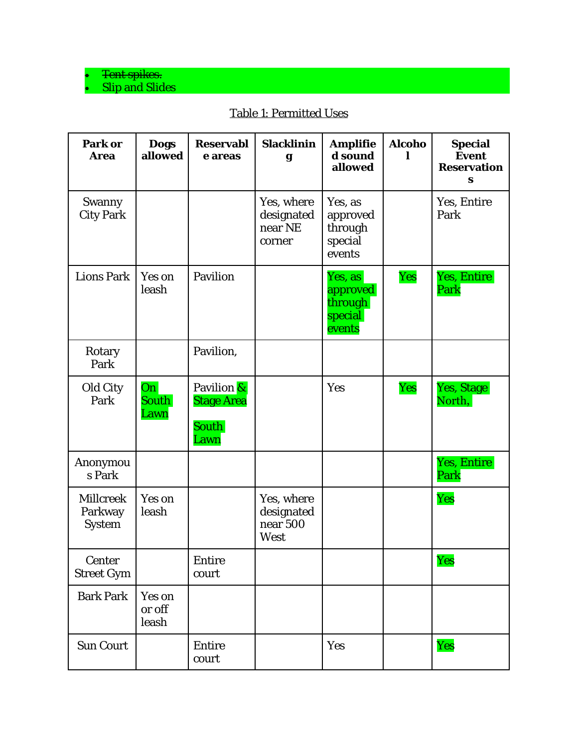#### $\bullet$  Tent spikes. • Slip and Slides

| Park or<br><b>Area</b>                | <b>Dogs</b><br>allowed           | <b>Reservabl</b><br>e areas                      | <b>Slacklinin</b><br>g                        | <b>Amplifie</b><br>d sound<br>allowed               | <b>Alcoho</b> | <b>Special</b><br><b>Event</b><br><b>Reservation</b><br>S |
|---------------------------------------|----------------------------------|--------------------------------------------------|-----------------------------------------------|-----------------------------------------------------|---------------|-----------------------------------------------------------|
| Swanny<br><b>City Park</b>            |                                  |                                                  | Yes, where<br>designated<br>near NE<br>corner | Yes, as<br>approved<br>through<br>special<br>events |               | Yes, Entire<br>Park                                       |
| <b>Lions Park</b>                     | Yes on<br>leash                  | Pavilion                                         |                                               | Yes, as<br>approved<br>through<br>special<br>events | Yes           | Yes, Entire<br>Park                                       |
| Rotary<br>Park                        |                                  | Pavilion,                                        |                                               |                                                     |               |                                                           |
| Old City<br>Park                      | On <sup>2</sup><br>South<br>Lawn | Pavilion &<br><b>Stage Area</b><br>South<br>Lawn |                                               | Yes                                                 | Yes           | Yes, Stage<br>North,                                      |
| Anonymou<br>s Park                    |                                  |                                                  |                                               |                                                     |               | Yes, Entire<br>Park                                       |
| Millcreek<br>Parkway<br><b>System</b> | Yes on<br>leash                  |                                                  | Yes, where<br>designated<br>near 500<br>West  |                                                     |               | Yes                                                       |
| Center<br>Street Gym                  |                                  | Entire<br>court                                  |                                               |                                                     |               | Yes                                                       |
| <b>Bark Park</b>                      | Yes on<br>or off<br>leash        |                                                  |                                               |                                                     |               |                                                           |
| Sun Court                             |                                  | Entire<br>court                                  |                                               | Yes                                                 |               | Yes                                                       |

# Table 1: Permitted Uses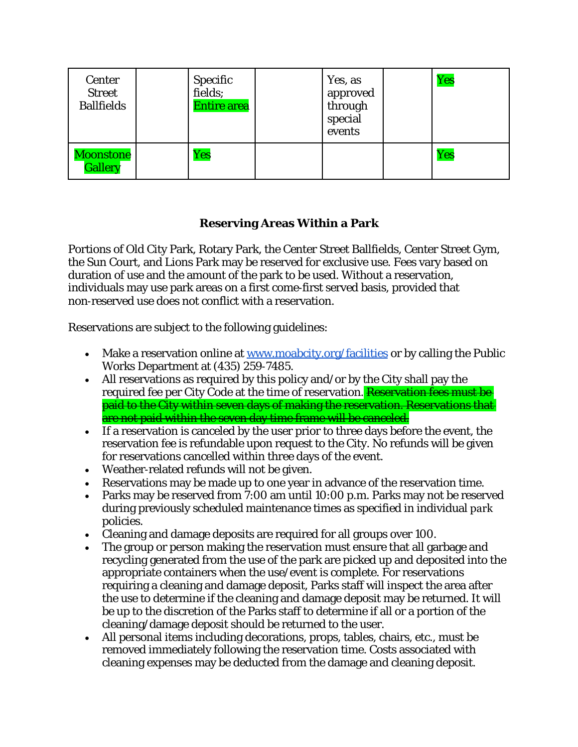| Center<br><b>Street</b><br><b>Ballfields</b> | Specific<br>fields;<br><b>Entire area</b> | Yes, as<br>approved<br>through<br>special<br>events | Yes |
|----------------------------------------------|-------------------------------------------|-----------------------------------------------------|-----|
| Moonstone<br><b>Gallery</b>                  | Yes                                       |                                                     | Yes |

#### **Reserving Areas Within a Park**

Portions of Old City Park, Rotary Park, the Center Street Ballfields, Center Street Gym, the Sun Court, and Lions Park may be reserved for exclusive use. Fees vary based on duration of use and the amount of the park to be used. Without a reservation, individuals may use park areas on a first come‐first served basis, provided that non‐reserved use does not conflict with a reservation.

Reservations are subject to the following guidelines:

- Make a reservation online at [www.moabcity.org/facilities](http://www.moabcity.org/facilities) or by calling the Public Works Department at (435) 259‐7485.
- All reservations as required by this policy and/or by the City shall pay the required fee per City Code at the time of reservation. Reservation fees must be paid to the City within seven days of making the reservation. Reservations that are not paid within the seven day time frame will be canceled.
- If a reservation is canceled by the user prior to three days before the event, the reservation fee is refundable upon request to the City. No refunds will be given for reservations cancelled within three days of the event.
- Weather-related refunds will not be given.
- Reservations may be made up to one year in advance of the reservation time.
- Parks may be reserved from 7:00 am until 10:00 p.m. Parks may not be reserved during previously scheduled maintenance times as specified in individual park policies.
- Cleaning and damage deposits are required for all groups over 100.
- The group or person making the reservation must ensure that all garbage and recycling generated from the use of the park are picked up and deposited into the appropriate containers when the use/event is complete. For reservations requiring a cleaning and damage deposit, Parks staff will inspect the area after the use to determine if the cleaning and damage deposit may be returned. It will be up to the discretion of the Parks staff to determine if all or a portion of the cleaning/damage deposit should be returned to the user.
- All personal items including decorations, props, tables, chairs, etc., must be removed immediately following the reservation time. Costs associated with cleaning expenses may be deducted from the damage and cleaning deposit.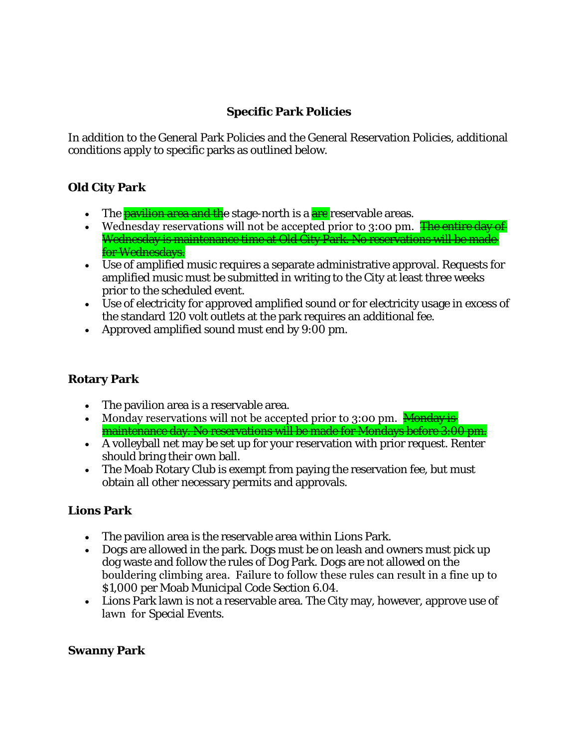# **Specific Park Policies**

In addition to the General Park Policies and the General Reservation Policies, additional conditions apply to specific parks as outlined below.

#### **Old City Park**

- The *pavilion area and the* stage-north is a **are** reservable area<del>s</del>.
- Wednesday reservations will not be accepted prior to 3:00 pm. **The entire day of** Wednesday is maintenance time at Old City Park. No reservations will be made for Wednesdays.
- Use of amplified music requires a separate administrative approval. Requests for amplified music must be submitted in writing to the City at least three weeks prior to the scheduled event.
- Use of electricity for approved amplified sound or for electricity usage in excess of the standard 120 volt outlets at the park requires an additional fee.
- Approved amplified sound must end by 9:00 pm.

#### **Rotary Park**

- The pavilion area is a reservable area.
- Monday reservations will not be accepted prior to 3:00 pm. Monday is maintenance day. No reservations will be made for Mondays before 3:00 pm.
- A volleyball net may be set up for your reservation with prior request. Renter should bring their own ball.
- The Moab Rotary Club is exempt from paying the reservation fee, but must obtain all other necessary permits and approvals.

# **Lions Park**

- The pavilion area is the reservable area within Lions Park.
- Dogs are allowed in the park. Dogs must be on leash and owners must pick up dog waste and follow the rules of Dog Park. Dogs are not allowed on the bouldering climbing area. Failure to follow these rules can result in a fine up to \$1,000 per Moab Municipal Code Section 6.04.
- Lions Park lawn is not a reservable area. The City may, however, approve use of lawn for Special Events.

#### **Swanny Park**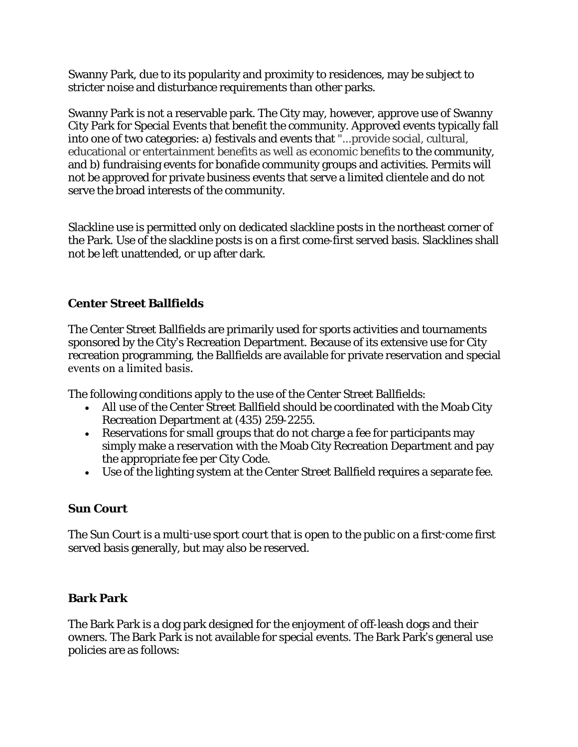Swanny Park, due to its popularity and proximity to residences, may be subject to stricter noise and disturbance requirements than other parks.

Swanny Park is not a reservable park. The City may, however, approve use of Swanny City Park for Special Events that benefit the community. Approved events typically fall into one of two categories: a) festivals and events that "...provide social, cultural, educational or entertainment benefits as well as economic benefits to the community, and b) fundraising events for bonafide community groups and activities. Permits will not be approved for private business events that serve a limited clientele and do not serve the broad interests of the community.

Slackline use is permitted only on dedicated slackline posts in the northeast corner of the Park. Use of the slackline posts is on a first come‐first served basis. Slacklines shall not be left unattended, or up after dark.

# **Center Street Ballfields**

The Center Street Ballfields are primarily used for sports activities and tournaments sponsored by the City's Recreation Department. Because of its extensive use for City recreation programming, the Ballfields are available for private reservation and special events on a limited basis.

The following conditions apply to the use of the Center Street Ballfields:

- All use of the Center Street Ballfield should be coordinated with the Moab City Recreation Department at (435) 259‐2255.
- Reservations for small groups that do not charge a fee for participants may simply make a reservation with the Moab City Recreation Department and pay the appropriate fee per City Code.
- Use of the lighting system at the Center Street Ballfield requires a separate fee.

#### **Sun Court**

The Sun Court is a multi-use sport court that is open to the public on a first-come first served basis generally, but may also be reserved.

# **Bark Park**

The Bark Park is a dog park designed for the enjoyment of off‐leash dogs and their owners. The Bark Park is not available for special events. The Bark Park's general use policies are as follows: